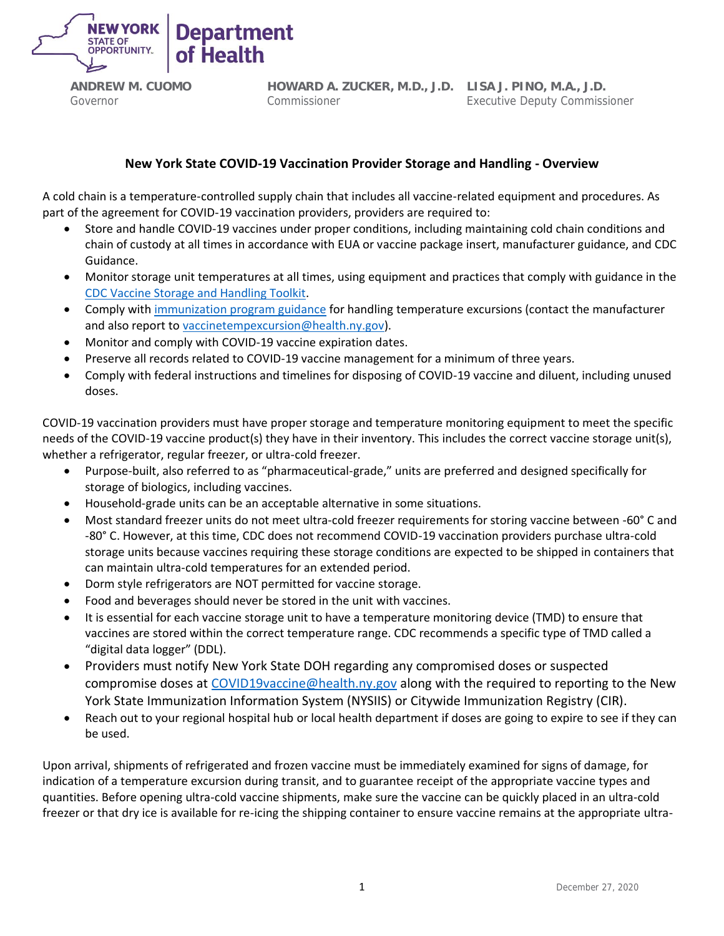

**ANDREW M. CUOMO** Governor

**HOWARD A. ZUCKER, M.D., J.D. LISA J. PINO, M.A., J.D.** Commissioner

Executive Deputy Commissioner

## **New York State COVID-19 Vaccination Provider Storage and Handling - Overview**

A cold chain is a temperature-controlled supply chain that includes all vaccine-related equipment and procedures. As part of the agreement for COVID-19 vaccination providers, providers are required to:

- Store and handle COVID-19 vaccines under proper conditions, including maintaining cold chain conditions and chain of custody at all times in accordance with EUA or vaccine package insert, manufacturer guidance, and CDC Guidance.
- Monitor storage unit temperatures at all times, using equipment and practices that comply with guidance in the [CDC Vaccine Storage and Handling Toolkit.](https://www.cdc.gov/vaccines/hcp/admin/storage/toolkit/storage-handling-toolkit.pdf)
- Comply wit[h immunization program guidance](https://www.health.ny.gov/prevention/immunization/vaccines_for_children/storage_and_handling.htm#respondtemp) for handling temperature excursions (contact the manufacturer and also report t[o vaccinetempexcursion@health.ny.gov\)](mailto:vaccinetempexcursion@health.ny.gov).
- Monitor and comply with COVID-19 vaccine expiration dates.
- Preserve all records related to COVID-19 vaccine management for a minimum of three years.
- Comply with federal instructions and timelines for disposing of COVID-19 vaccine and diluent, including unused doses.

COVID-19 vaccination providers must have proper storage and temperature monitoring equipment to meet the specific needs of the COVID-19 vaccine product(s) they have in their inventory. This includes the correct vaccine storage unit(s), whether a refrigerator, regular freezer, or ultra-cold freezer.

- Purpose-built, also referred to as "pharmaceutical-grade," units are preferred and designed specifically for storage of biologics, including vaccines.
- Household-grade units can be an acceptable alternative in some situations.
- Most standard freezer units do not meet ultra-cold freezer requirements for storing vaccine between -60° C and -80° C. However, at this time, CDC does not recommend COVID-19 vaccination providers purchase ultra-cold storage units because vaccines requiring these storage conditions are expected to be shipped in containers that can maintain ultra-cold temperatures for an extended period.
- Dorm style refrigerators are NOT permitted for vaccine storage.
- Food and beverages should never be stored in the unit with vaccines.
- It is essential for each vaccine storage unit to have a temperature monitoring device (TMD) to ensure that vaccines are stored within the correct temperature range. CDC recommends a specific type of TMD called a "digital data logger" (DDL).
- Providers must notify New York State DOH regarding any compromised doses or suspected compromise doses at [COVID19vaccine@health.ny.gov](mailto:COVID19vaccine@health.ny.gov) along with the required to reporting to the New York State Immunization Information System (NYSIIS) or Citywide Immunization Registry (CIR).
- Reach out to your regional hospital hub or local health department if doses are going to expire to see if they can be used.

Upon arrival, shipments of refrigerated and frozen vaccine must be immediately examined for signs of damage, for indication of a temperature excursion during transit, and to guarantee receipt of the appropriate vaccine types and quantities. Before opening ultra-cold vaccine shipments, make sure the vaccine can be quickly placed in an ultra-cold freezer or that dry ice is available for re-icing the shipping container to ensure vaccine remains at the appropriate ultra